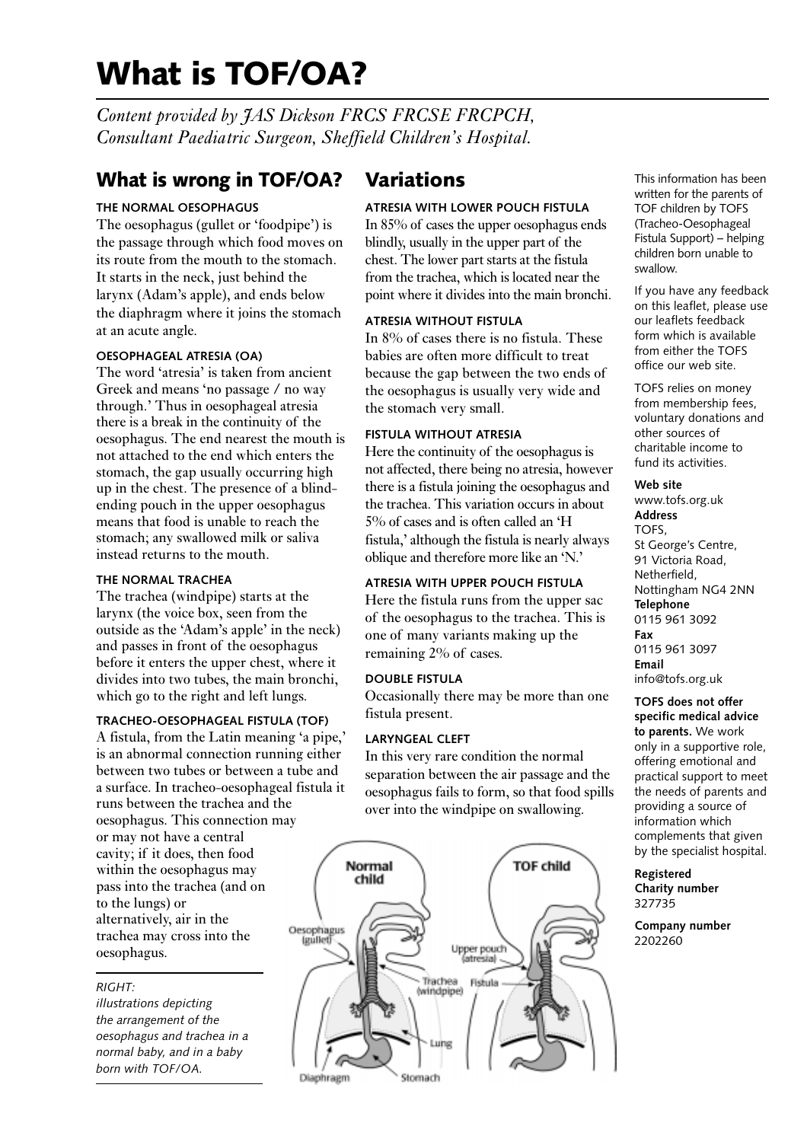# **What is TOF/OA?**

*Content provided by JAS Dickson FRCS FRCSE FRCPCH, Consultant Paediatric Surgeon, Sheffield Children's Hospital.*

### **What is wrong in TOF/OA?**

#### **THE NORMAL OESOPHAGUS**

The oesophagus (gullet or 'foodpipe') is the passage through which food moves on its route from the mouth to the stomach. It starts in the neck, just behind the larynx (Adam's apple), and ends below the diaphragm where it joins the stomach at an acute angle.

#### **OESOPHAGEAL ATRESIA (OA)**

The word 'atresia' is taken from ancient Greek and means 'no passage / no way through.' Thus in oesophageal atresia there is a break in the continuity of the oesophagus. The end nearest the mouth is not attached to the end which enters the stomach, the gap usually occurring high up in the chest. The presence of a blindending pouch in the upper oesophagus means that food is unable to reach the stomach; any swallowed milk or saliva instead returns to the mouth.

#### **THE NORMAL TRACHEA**

The trachea (windpipe) starts at the larynx (the voice box, seen from the outside as the 'Adam's apple' in the neck) and passes in front of the oesophagus before it enters the upper chest, where it divides into two tubes, the main bronchi, which go to the right and left lungs.

#### **TRACHEO-OESOPHAGEAL FISTULA (TOF)**

A fistula, from the Latin meaning 'a pipe,' is an abnormal connection running either between two tubes or between a tube and a surface. In tracheo-oesophageal fistula it runs between the trachea and the oesophagus. This connection may or may not have a central cavity; if it does, then food within the oesophagus may pass into the trachea (and on to the lungs) or alternatively, air in the trachea may cross into the oesophagus.

#### *RIGHT:*

*illustrations depicting the arrangement of the oesophagus and trachea in a normal baby, and in a baby born with TOF/OA.*

### **Variations**

#### **ATRESIA WITH LOWER POUCH FISTULA**

In 85% of cases the upper oesophagus ends blindly, usually in the upper part of the chest. The lower part starts at the fistula from the trachea, which is located near the point where it divides into the main bronchi.

#### **ATRESIA WITHOUT FISTULA**

In 8% of cases there is no fistula. These babies are often more difficult to treat because the gap between the two ends of the oesophagus is usually very wide and the stomach very small.

#### **FISTULA WITHOUT ATRESIA**

Here the continuity of the oesophagus is not affected, there being no atresia, however there is a fistula joining the oesophagus and the trachea. This variation occurs in about 5% of cases and is often called an 'H fistula,' although the fistula is nearly always oblique and therefore more like an 'N.'

#### **ATRESIA WITH UPPER POUCH FISTULA**

Here the fistula runs from the upper sac of the oesophagus to the trachea. This is one of many variants making up the remaining 2% of cases.

#### **DOUBLE FISTULA**

Occasionally there may be more than one fistula present.

#### **LARYNGEAL CLEFT**

In this very rare condition the normal separation between the air passage and the oesophagus fails to form, so that food spills over into the windpipe on swallowing.



This information has been written for the parents of TOF children by TOFS (Tracheo-Oesophageal Fistula Support) – helping children born unable to swallow.

If you have any feedback on this leaflet, please use our leaflets feedback form which is available from either the TOFS office our web site.

TOFS relies on money from membership fees, voluntary donations and other sources of charitable income to fund its activities.

#### **Web site**

www.tofs.org.uk **Address** TOFS, St George's Centre, 91 Victoria Road, Netherfield, Nottingham NG4 2NN **Telephone** 0115 961 3092 **Fax** 0115 961 3097 **Email** info@tofs.org.uk

**TOFS does not offer specific medical advice to parents.** We work only in a supportive role, offering emotional and practical support to meet the needs of parents and providing a source of information which complements that given by the specialist hospital.

**Registered Charity number** 327735

**Company number** 2202260